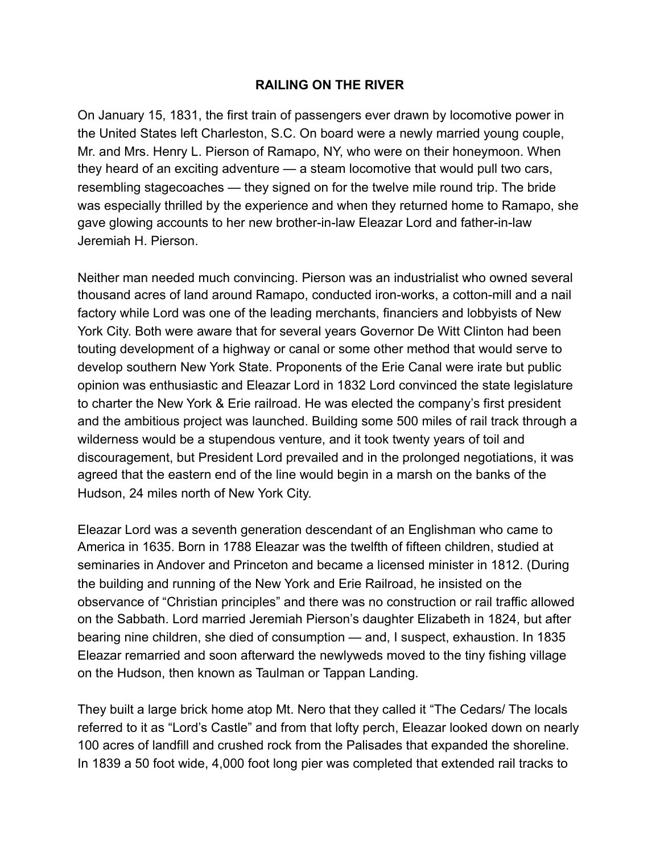## **RAILING ON THE RIVER**

On January 15, 1831, the first train of passengers ever drawn by locomotive power in the United States left Charleston, S.C. On board were a newly married young couple, Mr. and Mrs. Henry L. Pierson of Ramapo, NY, who were on their honeymoon. When they heard of an exciting adventure — a steam locomotive that would pull two cars, resembling stagecoaches — they signed on for the twelve mile round trip. The bride was especially thrilled by the experience and when they returned home to Ramapo, she gave glowing accounts to her new brother-in-law Eleazar Lord and father-in-law Jeremiah H. Pierson.

Neither man needed much convincing. Pierson was an industrialist who owned several thousand acres of land around Ramapo, conducted iron-works, a cotton-mill and a nail factory while Lord was one of the leading merchants, financiers and lobbyists of New York City. Both were aware that for several years Governor De Witt Clinton had been touting development of a highway or canal or some other method that would serve to develop southern New York State. Proponents of the Erie Canal were irate but public opinion was enthusiastic and Eleazar Lord in 1832 Lord convinced the state legislature to charter the New York & Erie railroad. He was elected the company's first president and the ambitious project was launched. Building some 500 miles of rail track through a wilderness would be a stupendous venture, and it took twenty years of toil and discouragement, but President Lord prevailed and in the prolonged negotiations, it was agreed that the eastern end of the line would begin in a marsh on the banks of the Hudson, 24 miles north of New York City.

Eleazar Lord was a seventh generation descendant of an Englishman who came to America in 1635. Born in 1788 Eleazar was the twelfth of fifteen children, studied at seminaries in Andover and Princeton and became a licensed minister in 1812. (During the building and running of the New York and Erie Railroad, he insisted on the observance of "Christian principles" and there was no construction or rail traffic allowed on the Sabbath. Lord married Jeremiah Pierson's daughter Elizabeth in 1824, but after bearing nine children, she died of consumption — and, I suspect, exhaustion. In 1835 Eleazar remarried and soon afterward the newlyweds moved to the tiny fishing village on the Hudson, then known as Taulman or Tappan Landing.

They built a large brick home atop Mt. Nero that they called it "The Cedars/ The locals referred to it as "Lord's Castle" and from that lofty perch, Eleazar looked down on nearly 100 acres of landfill and crushed rock from the Palisades that expanded the shoreline. In 1839 a 50 foot wide, 4,000 foot long pier was completed that extended rail tracks to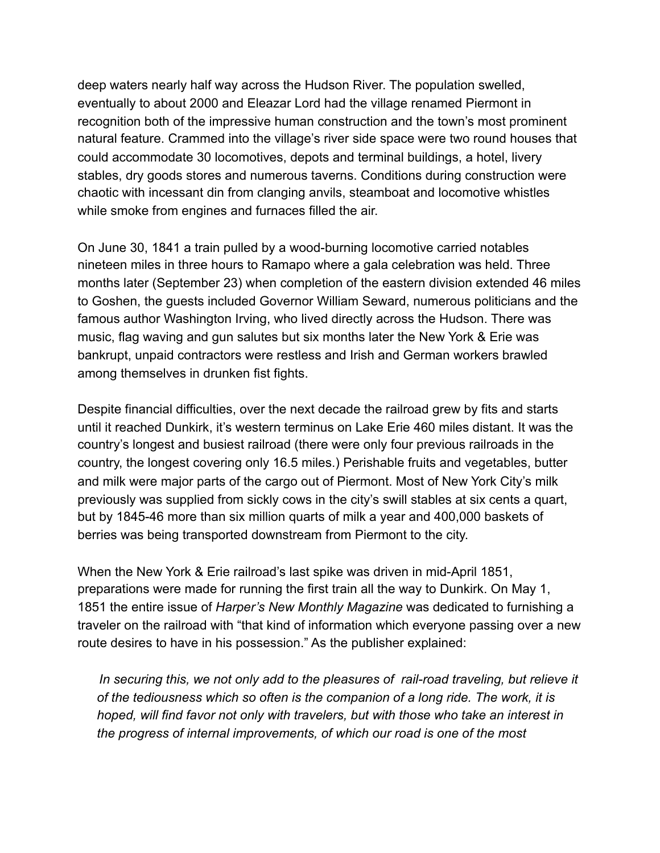deep waters nearly half way across the Hudson River. The population swelled, eventually to about 2000 and Eleazar Lord had the village renamed Piermont in recognition both of the impressive human construction and the town's most prominent natural feature. Crammed into the village's river side space were two round houses that could accommodate 30 locomotives, depots and terminal buildings, a hotel, livery stables, dry goods stores and numerous taverns. Conditions during construction were chaotic with incessant din from clanging anvils, steamboat and locomotive whistles while smoke from engines and furnaces filled the air.

On June 30, 1841 a train pulled by a wood-burning locomotive carried notables nineteen miles in three hours to Ramapo where a gala celebration was held. Three months later (September 23) when completion of the eastern division extended 46 miles to Goshen, the guests included Governor William Seward, numerous politicians and the famous author Washington Irving, who lived directly across the Hudson. There was music, flag waving and gun salutes but six months later the New York & Erie was bankrupt, unpaid contractors were restless and Irish and German workers brawled among themselves in drunken fist fights.

Despite financial difficulties, over the next decade the railroad grew by fits and starts until it reached Dunkirk, it's western terminus on Lake Erie 460 miles distant. It was the country's longest and busiest railroad (there were only four previous railroads in the country, the longest covering only 16.5 miles.) Perishable fruits and vegetables, butter and milk were major parts of the cargo out of Piermont. Most of New York City's milk previously was supplied from sickly cows in the city's swill stables at six cents a quart, but by 1845-46 more than six million quarts of milk a year and 400,000 baskets of berries was being transported downstream from Piermont to the city.

When the New York & Erie railroad's last spike was driven in mid-April 1851, preparations were made for running the first train all the way to Dunkirk. On May 1, 1851 the entire issue of *Harper's New Monthly Magazine* was dedicated to furnishing a traveler on the railroad with "that kind of information which everyone passing over a new route desires to have in his possession." As the publisher explained:

 *In securing this, we not only add to the pleasures of rail-road traveling, but relieve it of the tediousness which so often is the companion of a long ride. The work, it is hoped, will find favor not only with travelers, but with those who take an interest in the progress of internal improvements, of which our road is one of the most*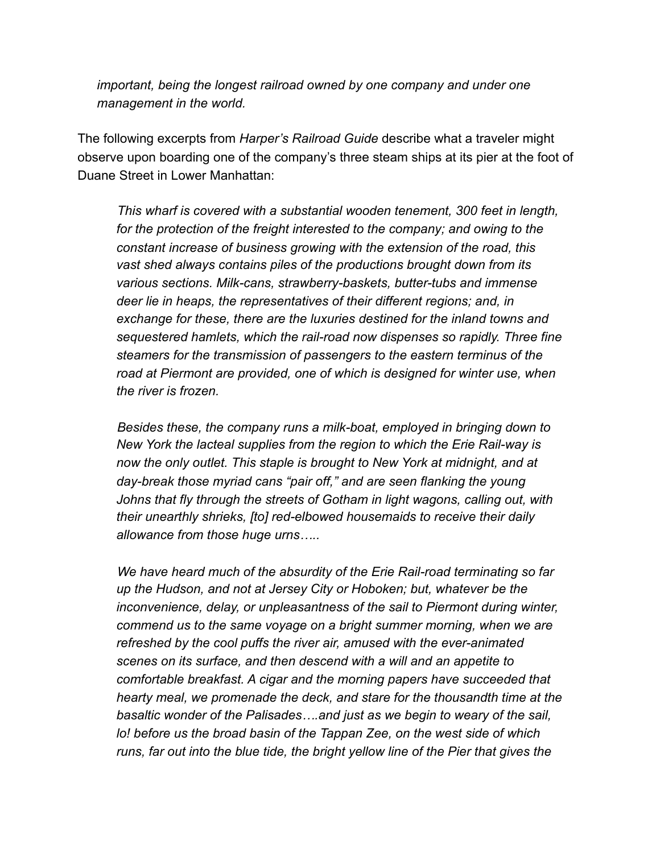*important, being the longest railroad owned by one company and under one management in the world.* 

The following excerpts from *Harper's Railroad Guide* describe what a traveler might observe upon boarding one of the company's three steam ships at its pier at the foot of Duane Street in Lower Manhattan:

 *This wharf is covered with a substantial wooden tenement, 300 feet in length,*  for the protection of the freight interested to the company; and owing to the *constant increase of business growing with the extension of the road, this vast shed always contains piles of the productions brought down from its various sections. Milk-cans, strawberry-baskets, butter-tubs and immense deer lie in heaps, the representatives of their different regions; and, in exchange for these, there are the luxuries destined for the inland towns and sequestered hamlets, which the rail-road now dispenses so rapidly. Three fine steamers for the transmission of passengers to the eastern terminus of the*  road at Piermont are provided, one of which is designed for winter use, when *the river is frozen.* 

 *Besides these, the company runs a milk-boat, employed in bringing down to New York the lacteal supplies from the region to which the Erie Rail-way is now the only outlet. This staple is brought to New York at midnight, and at day-break those myriad cans "pair off," and are seen flanking the young*  Johns that fly through the streets of Gotham in light wagons, calling out, with *their unearthly shrieks, [to] red-elbowed housemaids to receive their daily allowance from those huge urns…..* 

 *We have heard much of the absurdity of the Erie Rail-road terminating so far up the Hudson, and not at Jersey City or Hoboken; but, whatever be the inconvenience, delay, or unpleasantness of the sail to Piermont during winter, commend us to the same voyage on a bright summer morning, when we are refreshed by the cool puffs the river air, amused with the ever-animated scenes on its surface, and then descend with a will and an appetite to comfortable breakfast. A cigar and the morning papers have succeeded that hearty meal, we promenade the deck, and stare for the thousandth time at the basaltic wonder of the Palisades….and just as we begin to weary of the sail, lo! before us the broad basin of the Tappan Zee, on the west side of which runs, far out into the blue tide, the bright yellow line of the Pier that gives the*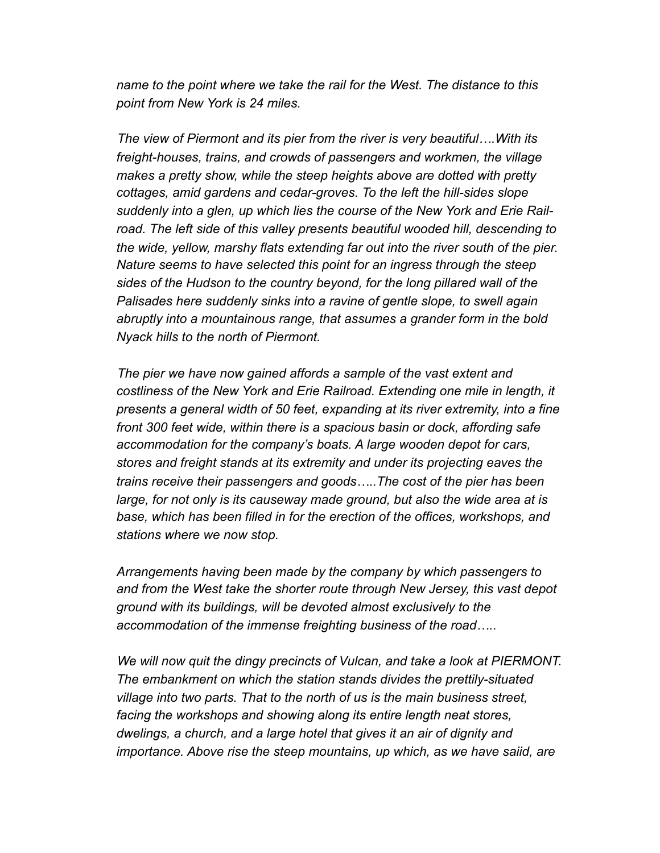*name to the point where we take the rail for the West. The distance to this point from New York is 24 miles.* 

 *The view of Piermont and its pier from the river is very beautiful….With its freight-houses, trains, and crowds of passengers and workmen, the village makes a pretty show, while the steep heights above are dotted with pretty cottages, amid gardens and cedar-groves. To the left the hill-sides slope suddenly into a glen, up which lies the course of the New York and Erie Rail*road. The left side of this valley presents beautiful wooded hill, descending to *the wide, yellow, marshy flats extending far out into the river south of the pier. Nature seems to have selected this point for an ingress through the steep sides of the Hudson to the country beyond, for the long pillared wall of the Palisades here suddenly sinks into a ravine of gentle slope, to swell again abruptly into a mountainous range, that assumes a grander form in the bold Nyack hills to the north of Piermont.* 

 *The pier we have now gained affords a sample of the vast extent and costliness of the New York and Erie Railroad. Extending one mile in length, it presents a general width of 50 feet, expanding at its river extremity, into a fine front 300 feet wide, within there is a spacious basin or dock, affording safe accommodation for the company's boats. A large wooden depot for cars, stores and freight stands at its extremity and under its projecting eaves the trains receive their passengers and goods…..The cost of the pier has been large, for not only is its causeway made ground, but also the wide area at is*  base, which has been filled in for the erection of the offices, workshops, and *stations where we now stop.* 

 *Arrangements having been made by the company by which passengers to and from the West take the shorter route through New Jersey, this vast depot ground with its buildings, will be devoted almost exclusively to the accommodation of the immense freighting business of the road…..* 

 *We will now quit the dingy precincts of Vulcan, and take a look at PIERMONT. The embankment on which the station stands divides the prettily-situated village into two parts. That to the north of us is the main business street, facing the workshops and showing along its entire length neat stores, dwelings, a church, and a large hotel that gives it an air of dignity and importance. Above rise the steep mountains, up which, as we have saiid, are*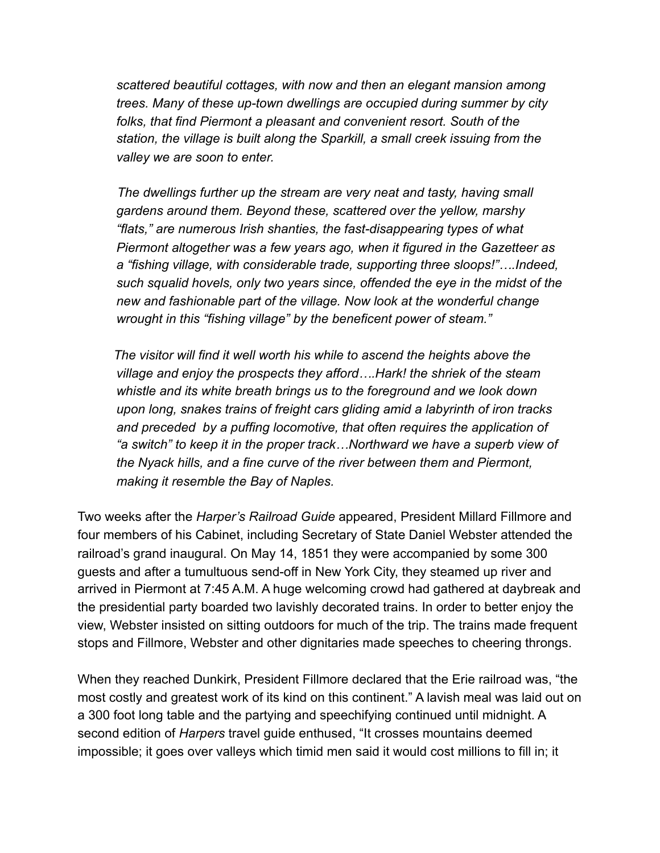*scattered beautiful cottages, with now and then an elegant mansion among trees. Many of these up-town dwellings are occupied during summer by city folks, that find Piermont a pleasant and convenient resort. South of the station, the village is built along the Sparkill, a small creek issuing from the valley we are soon to enter.* 

 *The dwellings further up the stream are very neat and tasty, having small gardens around them. Beyond these, scattered over the yellow, marshy "flats," are numerous Irish shanties, the fast-disappearing types of what Piermont altogether was a few years ago, when it figured in the Gazetteer as a "fishing village, with considerable trade, supporting three sloops!"….Indeed, such squalid hovels, only two years since, offended the eye in the midst of the new and fashionable part of the village. Now look at the wonderful change wrought in this "fishing village" by the beneficent power of steam."* 

 *The visitor will find it well worth his while to ascend the heights above the village and enjoy the prospects they afford….Hark! the shriek of the steam whistle and its white breath brings us to the foreground and we look down upon long, snakes trains of freight cars gliding amid a labyrinth of iron tracks and preceded by a puffing locomotive, that often requires the application of "a switch" to keep it in the proper track…Northward we have a superb view of the Nyack hills, and a fine curve of the river between them and Piermont, making it resemble the Bay of Naples.* 

Two weeks after the *Harper's Railroad Guide* appeared, President Millard Fillmore and four members of his Cabinet, including Secretary of State Daniel Webster attended the railroad's grand inaugural. On May 14, 1851 they were accompanied by some 300 guests and after a tumultuous send-off in New York City, they steamed up river and arrived in Piermont at 7:45 A.M. A huge welcoming crowd had gathered at daybreak and the presidential party boarded two lavishly decorated trains. In order to better enjoy the view, Webster insisted on sitting outdoors for much of the trip. The trains made frequent stops and Fillmore, Webster and other dignitaries made speeches to cheering throngs.

When they reached Dunkirk, President Fillmore declared that the Erie railroad was, "the most costly and greatest work of its kind on this continent." A lavish meal was laid out on a 300 foot long table and the partying and speechifying continued until midnight. A second edition of *Harpers* travel guide enthused, "It crosses mountains deemed impossible; it goes over valleys which timid men said it would cost millions to fill in; it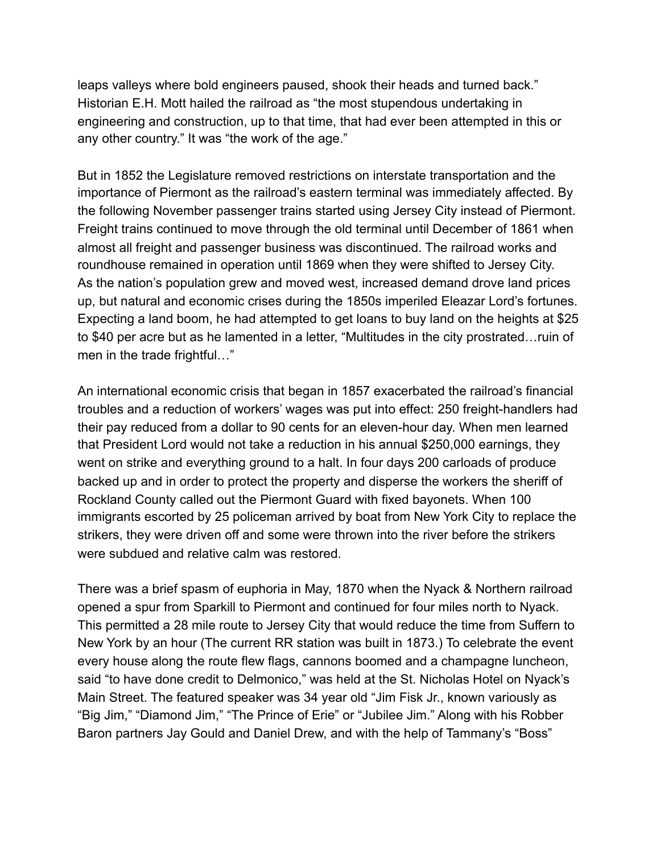leaps valleys where bold engineers paused, shook their heads and turned back." Historian E.H. Mott hailed the railroad as "the most stupendous undertaking in engineering and construction, up to that time, that had ever been attempted in this or any other country." It was "the work of the age."

But in 1852 the Legislature removed restrictions on interstate transportation and the importance of Piermont as the railroad's eastern terminal was immediately affected. By the following November passenger trains started using Jersey City instead of Piermont. Freight trains continued to move through the old terminal until December of 1861 when almost all freight and passenger business was discontinued. The railroad works and roundhouse remained in operation until 1869 when they were shifted to Jersey City. As the nation's population grew and moved west, increased demand drove land prices up, but natural and economic crises during the 1850s imperiled Eleazar Lord's fortunes. Expecting a land boom, he had attempted to get loans to buy land on the heights at \$25 to \$40 per acre but as he lamented in a letter, "Multitudes in the city prostrated…ruin of men in the trade frightful..."

An international economic crisis that began in 1857 exacerbated the railroad's financial troubles and a reduction of workers' wages was put into effect: 250 freight-handlers had their pay reduced from a dollar to 90 cents for an eleven-hour day. When men learned that President Lord would not take a reduction in his annual \$250,000 earnings, they went on strike and everything ground to a halt. In four days 200 carloads of produce backed up and in order to protect the property and disperse the workers the sheriff of Rockland County called out the Piermont Guard with fixed bayonets. When 100 immigrants escorted by 25 policeman arrived by boat from New York City to replace the strikers, they were driven off and some were thrown into the river before the strikers were subdued and relative calm was restored.

There was a brief spasm of euphoria in May, 1870 when the Nyack & Northern railroad opened a spur from Sparkill to Piermont and continued for four miles north to Nyack. This permitted a 28 mile route to Jersey City that would reduce the time from Suffern to New York by an hour (The current RR station was built in 1873.) To celebrate the event every house along the route flew flags, cannons boomed and a champagne luncheon, said "to have done credit to Delmonico," was held at the St. Nicholas Hotel on Nyack's Main Street. The featured speaker was 34 year old "Jim Fisk Jr., known variously as "Big Jim," "Diamond Jim," "The Prince of Erie" or "Jubilee Jim." Along with his Robber Baron partners Jay Gould and Daniel Drew, and with the help of Tammany's "Boss"